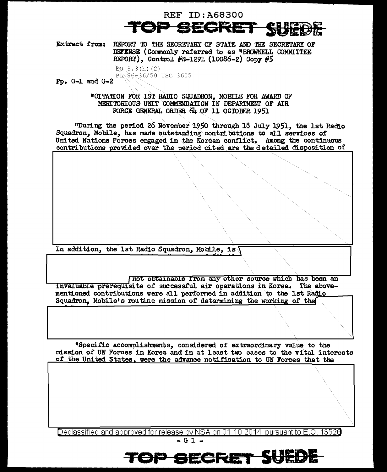

Extract from: REPORT TO THE SECRETARY OF STATE AND THE SECRETARY OF DEFENSE (Commonly referred to as "BROWNELL COMMITTEE REPORT), Control #S-1291 (10086-2) Copy #5

 $EQ. 3.3(h) (2)$ PL 86-36/50 USC 3605  $Pp. G-1 and G-2$ 

> "CITATION FOR IST RADIO SQUADRON, MOBILE FOR AWARD OF MERITORIOUS UNIT COMMENDATION IN DEPARTMENT OF AIR FORCE GENERAL ORDER 64 OF 11 OCTOBER 1951

"During the period 26 November 1950 through 18 July 1951, the 1st Radio Squadron, Mobile, has made outstanding contributions to all services of United Nations Forces engaged in the Korean conflict. Among the continuous contributions provided over the period cited are the detailed disposition of

In addition, the 1st Radio Squadron, Mobile, is

not obtainable from any other source which has been an invaluable prerequisite of successful air operations in Korea. The abovementioned contributions were all performed in addition to the 1st Radio Squadron. Mobile's routine mission of determining the working of the

"Specific accomplishments, considered of extraordinary value to the mission of UN Forces in Korea and in at least two cases to the vital interests of the United States, were the advance notification to UN Forces that the

Declassified and approved for release by NSA on 01-10-2014 pursuant to E.O. 13526

TOP SECRET SUED

 $-01 -$